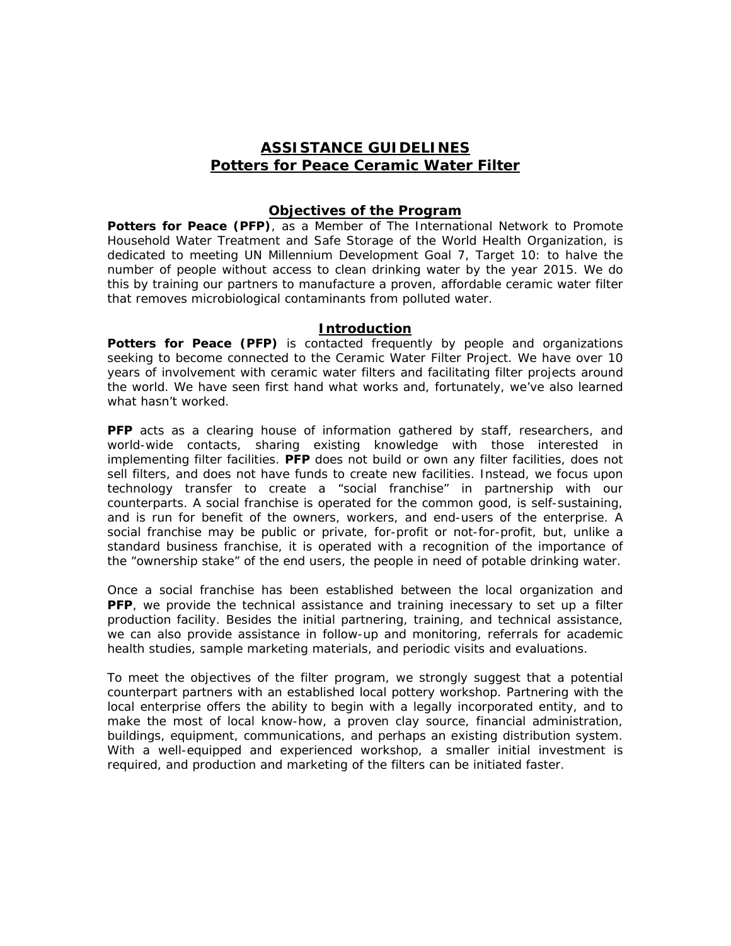## *ASSISTANCE GUIDELINES Potters for Peace Ceramic Water Filter*

## *Objectives of the Program*

**Potters for Peace (PFP)**, as a Member of The International Network to Promote Household Water Treatment and Safe Storage of the World Health Organization, is dedicated to meeting *UN Millennium Development Goal 7, Target 10:* to halve the number of people without access to clean drinking water by the year 2015. We do this by training our partners to manufacture a proven, affordable ceramic water filter that removes microbiological contaminants from polluted water.

## *Introduction*

**Potters for Peace (PFP)** is contacted frequently by people and organizations seeking to become connected to the Ceramic Water Filter Project. We have over 10 years of involvement with ceramic water filters and facilitating filter projects around the world. We have seen first hand what works and, fortunately, we've also learned what hasn't worked.

**PFP** acts as a clearing house of information gathered by staff, researchers, and world-wide contacts, sharing existing knowledge with those interested in implementing filter facilities. *PFP* does not build or own any filter facilities, does not sell filters, and does not have funds to create new facilities. Instead, we focus upon *technology transfer* to create a *"social franchise"* in partnership with our counterparts. A *social franchise* is operated for the common good, is self-sustaining, and is run for benefit of the owners, workers, and end-users of the enterprise. A *social franchise* may be public or private, for-profit or not-for-profit, but, unlike a standard business franchise, it is operated with a recognition of the importance of the "ownership stake" of the end users, the people in need of potable drinking water.

Once a *social franchise* has been established between the local organization and **PFP**, we provide the technical assistance and training inecessary to set up a filter production facility. Besides the initial partnering, training, and technical assistance, we can also provide assistance in follow-up and monitoring, referrals for academic health studies, sample marketing materials, and periodic visits and evaluations.

To meet the objectives of the filter program, we strongly suggest that a potential counterpart partners with an established local pottery workshop. Partnering with the local enterprise offers the ability to begin with a legally incorporated entity, and to make the most of local know-how, a proven clay source, financial administration, buildings, equipment, communications, and perhaps an existing distribution system. With a well-equipped and experienced workshop, a smaller initial investment is required, and production and marketing of the filters can be initiated faster.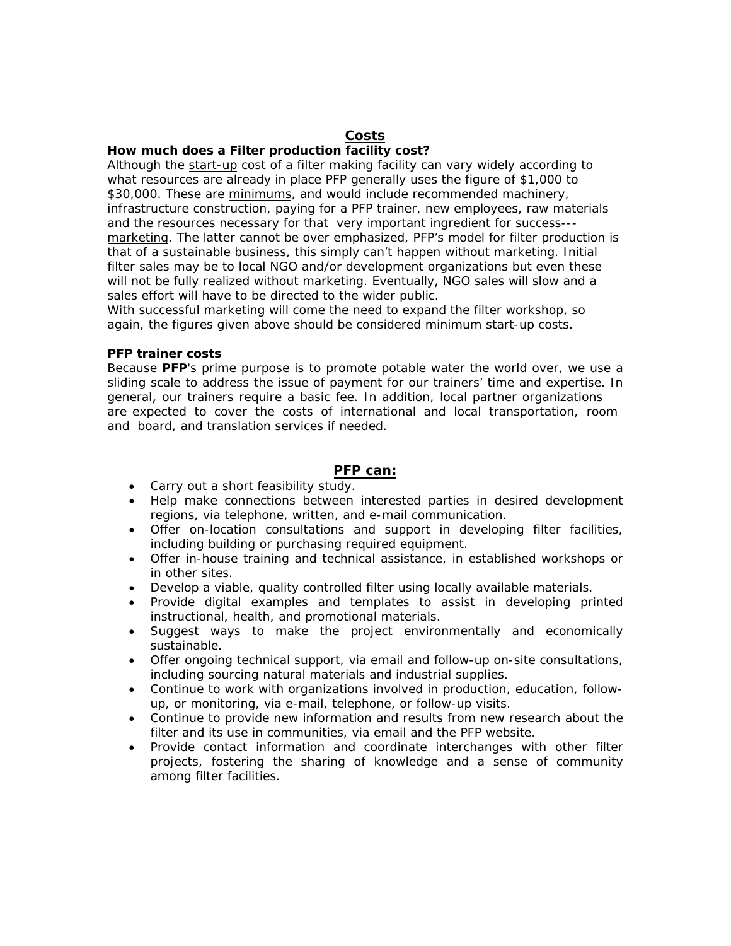## *Costs*

### *How much does a Filter production facility cost?*

Although the start-up cost of a filter making facility can vary widely according to what resources are already in place PFP generally uses the figure of \$1,000 to \$30,000. These are minimums, and would include recommended machinery, infrastructure construction, paying for a PFP trainer, new employees, raw materials and the resources necessary for that very important ingredient for success-- marketing. The latter cannot be over emphasized, PFP's model for filter production is that of a sustainable business, this simply can't happen without marketing. Initial filter sales may be to local NGO and/or development organizations but even these will not be fully realized without marketing. Eventually, NGO sales will slow and a sales effort will have to be directed to the wider public.

With successful marketing will come the need to expand the filter workshop, so again, the figures given above should be considered minimum start-up costs.

### *PFP trainer costs*

Because *PFP*'s prime purpose is to promote potable water the world over, we use a sliding scale to address the issue of payment for our trainers' time and expertise. In general, our trainers require a basic fee. In addition, local partner organizations are expected to cover the costs of international and local transportation, room and board, and translation services if needed.

#### *PFP can:*

- Carry out a short feasibility study.
- Help make connections between interested parties in desired development regions, via telephone, written, and e-mail communication.
- Offer on-location consultations and support in developing filter facilities, including building or purchasing required equipment.
- Offer in-house training and technical assistance, in established workshops or in other sites.
- Develop a viable, quality controlled filter using locally available materials.
- Provide digital examples and templates to assist in developing printed instructional, health, and promotional materials.
- Suggest ways to make the project environmentally and economically sustainable.
- Offer ongoing technical support, via email and follow-up on-site consultations, including sourcing natural materials and industrial supplies.
- Continue to work with organizations involved in production, education, followup, or monitoring, via e-mail, telephone, or follow-up visits.
- Continue to provide new information and results from new research about the filter and its use in communities, via email and the PFP website.
- Provide contact information and coordinate interchanges with other filter projects, fostering the sharing of knowledge and a sense of community among filter facilities.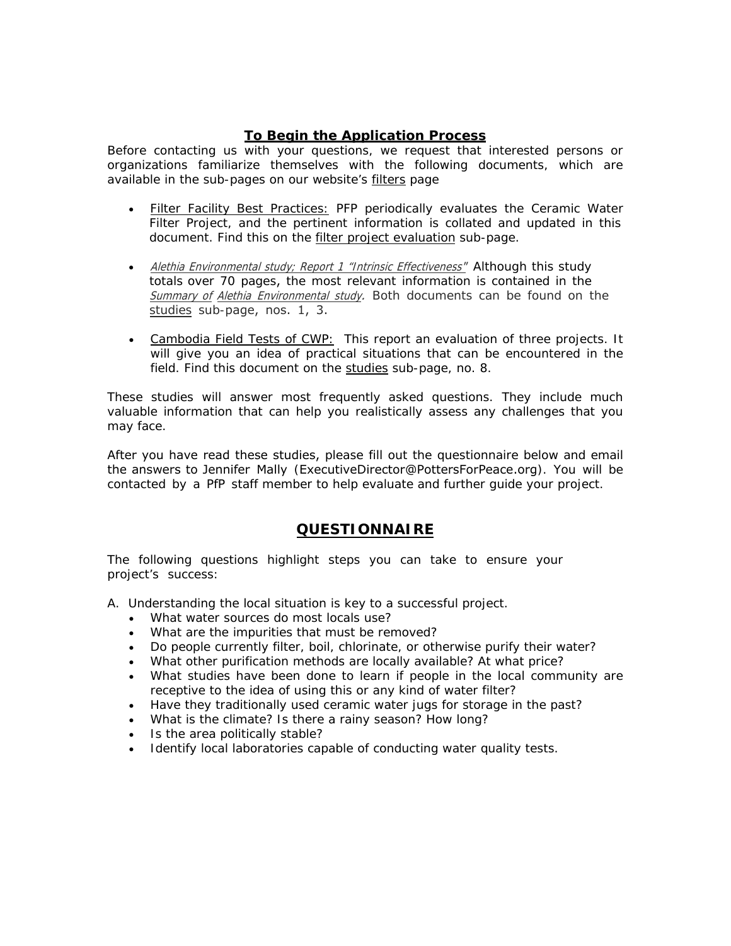## *To Begin the Application Process*

Before contacting us with your questions, we request that interested persons or organizations familiarize themselves with the following documents, which are available in the sub-pages on our website's *filters* page

- *Filter Facility Best Practices:* PFP periodically evaluates the Ceramic Water Filter Project, and the pertinent information is collated and updated in this document. Find this on the *filter project evaluation* sub-page.
- Alethia Environmental study; Report 1 "Intrinsic Effectiveness" Although this study totals over 70 pages, the most relevant information is contained in the Summary of Alethia Environmental study. Both documents can be found on the *studies* sub-page, nos. 1, 3.
- *Cambodia Field Tests of CWP:* This report an evaluation of three projects. It will give you an idea of practical situations that can be encountered in the field. Find this document on the *studies* sub-page, no. 8.

These studies will answer most frequently asked questions. They include much valuable information that can help you realistically assess any challenges that you may face.

After you have read these studies, please fill out the questionnaire below and email the answers to Jennifer Mally (ExecutiveDirector@PottersForPeace.org). You will be contacted by a PfP staff member to help evaluate and further guide your project.

# *QUESTIONNAIRE*

*The following questions highlight steps you can take to ensure your project's success:* 

A. Understanding the local situation is key to a successful project.

- What water sources do most locals use?
- What are the impurities that must be removed?
- Do people currently filter, boil, chlorinate, or otherwise purify their water?
- What other purification methods are locally available? At what price?
- What studies have been done to learn if people in the local community are receptive to the idea of using this or any kind of water filter?
- Have they traditionally used ceramic water jugs for storage in the past?
- What is the climate? Is there a rainy season? How long?
- Is the area politically stable?
- Identify local laboratories capable of conducting water quality tests.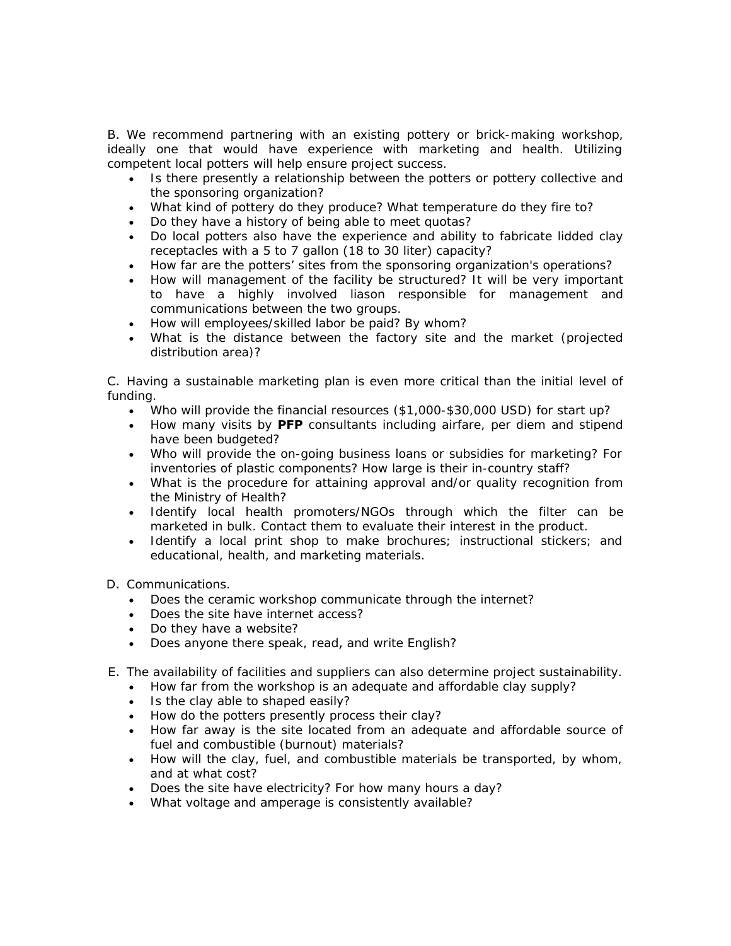B. We recommend partnering with an existing pottery or brick-making workshop, ideally one that would have experience with marketing and health. Utilizing competent local potters will help ensure project success.

- Is there presently a relationship between the potters or pottery collective and the sponsoring organization?
- What kind of pottery do they produce? What temperature do they fire to?
- Do they have a history of being able to meet quotas?
- Do local potters also have the experience and ability to fabricate lidded clay receptacles with a 5 to 7 gallon (18 to 30 liter) capacity?
- How far are the potters' sites from the sponsoring organization's operations?
- How will management of the facility be structured? It will be very important to have a highly involved liason responsible for management and communications between the two groups.
- How will employees/skilled labor be paid? By whom?
- What is the distance between the factory site and the market (projected distribution area)?

C. Having a sustainable marketing plan is even more critical than the initial level of funding.

- Who will provide the financial resources (\$1,000-\$30,000 USD) for start up?
- How many visits by *PFP* consultants including airfare, per diem and stipend have been budgeted?
- Who will provide the on-going business loans or subsidies for marketing? For inventories of plastic components? How large is their in-country staff?
- What is the procedure for attaining approval and/or quality recognition from the Ministry of Health?
- Identify local health promoters/NGOs through which the filter can be marketed in bulk. Contact them to evaluate their interest in the product.
- Identify a local print shop to make brochures; instructional stickers; and educational, health, and marketing materials.

D. Communications.

- Does the ceramic workshop communicate through the internet?
- Does the site have internet access?
- Do they have a website?
- Does anyone there speak, read, and write English?
- E. The availability of facilities and suppliers can also determine project sustainability.
	- How far from the workshop is an adequate and affordable clay supply?
	- Is the clay able to shaped easily?
	- How do the potters presently process their clay?
	- How far away is the site located from an adequate and affordable source of fuel and combustible (burnout) materials?
	- How will the clay, fuel, and combustible materials be transported, by whom, and at what cost?
	- Does the site have electricity? For how many hours a day?
	- What voltage and amperage is consistently available?